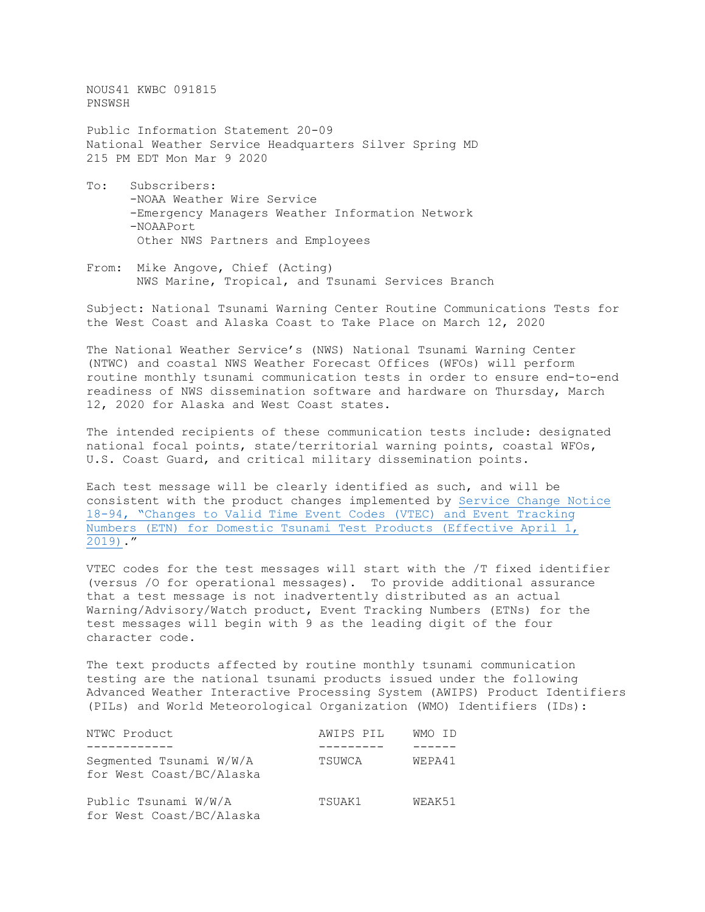NOUS41 KWBC 091815 PNSWSH

Public Information Statement 20-09 National Weather Service Headquarters Silver Spring MD 215 PM EDT Mon Mar 9 2020

- To: Subscribers: -NOAA Weather Wire Service -Emergency Managers Weather Information Network -NOAAPort Other NWS Partners and Employees
- From: Mike Angove, Chief (Acting) NWS Marine, Tropical, and Tsunami Services Branch

Subject: National Tsunami Warning Center Routine Communications Tests for the West Coast and Alaska Coast to Take Place on March 12, 2020

The National Weather Service's (NWS) National Tsunami Warning Center (NTWC) and coastal NWS Weather Forecast Offices (WFOs) will perform routine monthly tsunami communication tests in order to ensure end-to-end readiness of NWS dissemination software and hardware on Thursday, March 12, 2020 for Alaska and West Coast states.

The intended recipients of these communication tests include: designated national focal points, state/territorial warning points, coastal WFOs, U.S. Coast Guard, and critical military dissemination points.

Each test message will be clearly identified as such, and will be consistent with the product changes implemented by [Service Change Notice](https://www.weather.gov/media/notification/pdfs/scn18-94vtec_tsunami.pdf) 18-94, "Changes to Valid Time Event Codes [\(VTEC\) and Event Tracking](https://www.weather.gov/media/notification/pdfs/scn18-94vtec_tsunami.pdf) [Numbers \(ETN\) for Domestic Tsunami Test](https://www.weather.gov/media/notification/pdfs/scn18-94vtec_tsunami.pdf) Products (Effective April 1, [2019\).](https://www.weather.gov/media/notification/pdfs/scn18-94vtec_tsunami.pdf)"

VTEC codes for the test messages will start with the /T fixed identifier (versus /O for operational messages). To provide additional assurance that a test message is not inadvertently distributed as an actual Warning/Advisory/Watch product, Event Tracking Numbers (ETNs) for the test messages will begin with 9 as the leading digit of the four character code.

The text products affected by routine monthly tsunami communication testing are the national tsunami products issued under the following Advanced Weather Interactive Processing System (AWIPS) Product Identifiers (PILs) and World Meteorological Organization (WMO) Identifiers (IDs):

| NTWC Product                                        | AWIPS PIL | WMO ID |
|-----------------------------------------------------|-----------|--------|
| Segmented Tsunami W/W/A<br>for West Coast/BC/Alaska | TSUWCA    | WEPA41 |
| Public Tsunami W/W/A<br>for West Coast/BC/Alaska    | TSUAK1    | WEAK51 |